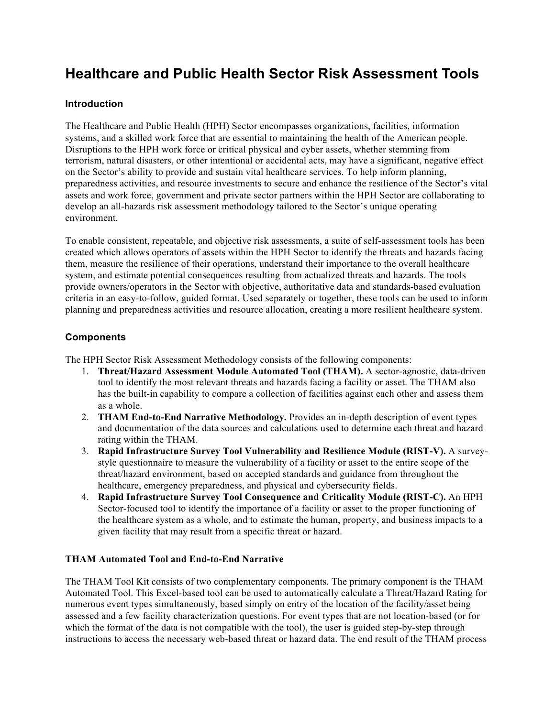# **Healthcare and Public Health Sector Risk Assessment Tools**

## **Introduction**

The Healthcare and Public Health (HPH) Sector encompasses organizations, facilities, information systems, and a skilled work force that are essential to maintaining the health of the American people. Disruptions to the HPH work force or critical physical and cyber assets, whether stemming from terrorism, natural disasters, or other intentional or accidental acts, may have a significant, negative effect on the Sector's ability to provide and sustain vital healthcare services. To help inform planning, preparedness activities, and resource investments to secure and enhance the resilience of the Sector's vital assets and work force, government and private sector partners within the HPH Sector are collaborating to develop an all-hazards risk assessment methodology tailored to the Sector's unique operating environment.

To enable consistent, repeatable, and objective risk assessments, a suite of self-assessment tools has been created which allows operators of assets within the HPH Sector to identify the threats and hazards facing them, measure the resilience of their operations, understand their importance to the overall healthcare system, and estimate potential consequences resulting from actualized threats and hazards. The tools provide owners/operators in the Sector with objective, authoritative data and standards-based evaluation criteria in an easy-to-follow, guided format. Used separately or together, these tools can be used to inform planning and preparedness activities and resource allocation, creating a more resilient healthcare system.

## **Components**

The HPH Sector Risk Assessment Methodology consists of the following components:

- 1. **Threat/Hazard Assessment Module Automated Tool (THAM).** A sector-agnostic, data-driven tool to identify the most relevant threats and hazards facing a facility or asset. The THAM also has the built-in capability to compare a collection of facilities against each other and assess them as a whole.
- 2. **THAM End-to-End Narrative Methodology.** Provides an in-depth description of event types and documentation of the data sources and calculations used to determine each threat and hazard rating within the THAM.
- 3. **Rapid Infrastructure Survey Tool Vulnerability and Resilience Module (RIST-V).** A surveystyle questionnaire to measure the vulnerability of a facility or asset to the entire scope of the threat/hazard environment, based on accepted standards and guidance from throughout the healthcare, emergency preparedness, and physical and cybersecurity fields.
- 4. **Rapid Infrastructure Survey Tool Consequence and Criticality Module (RIST-C).** An HPH Sector-focused tool to identify the importance of a facility or asset to the proper functioning of the healthcare system as a whole, and to estimate the human, property, and business impacts to a given facility that may result from a specific threat or hazard.

### **THAM Automated Tool and End-to-End Narrative**

The THAM Tool Kit consists of two complementary components. The primary component is the THAM Automated Tool. This Excel-based tool can be used to automatically calculate a Threat/Hazard Rating for numerous event types simultaneously, based simply on entry of the location of the facility/asset being assessed and a few facility characterization questions. For event types that are not location-based (or for which the format of the data is not compatible with the tool), the user is guided step-by-step through instructions to access the necessary web-based threat or hazard data. The end result of the THAM process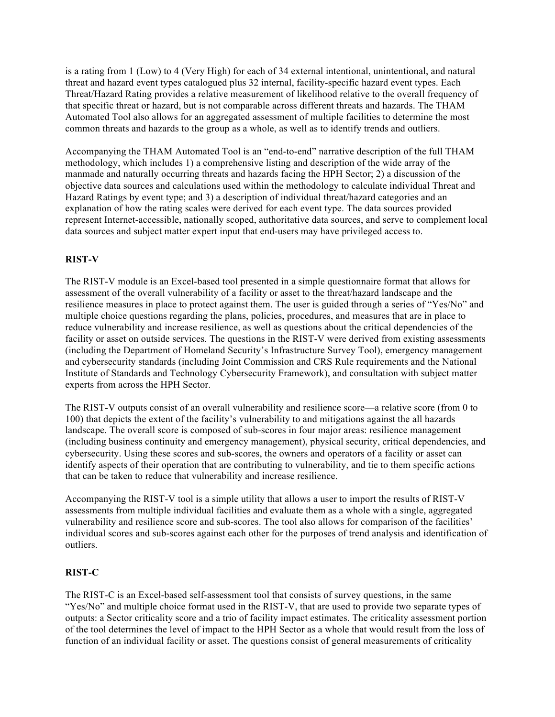is a rating from 1 (Low) to 4 (Very High) for each of 34 external intentional, unintentional, and natural threat and hazard event types catalogued plus 32 internal, facility-specific hazard event types. Each Threat/Hazard Rating provides a relative measurement of likelihood relative to the overall frequency of that specific threat or hazard, but is not comparable across different threats and hazards. The THAM Automated Tool also allows for an aggregated assessment of multiple facilities to determine the most common threats and hazards to the group as a whole, as well as to identify trends and outliers.

Accompanying the THAM Automated Tool is an "end-to-end" narrative description of the full THAM methodology, which includes 1) a comprehensive listing and description of the wide array of the manmade and naturally occurring threats and hazards facing the HPH Sector; 2) a discussion of the objective data sources and calculations used within the methodology to calculate individual Threat and Hazard Ratings by event type; and 3) a description of individual threat/hazard categories and an explanation of how the rating scales were derived for each event type. The data sources provided represent Internet-accessible, nationally scoped, authoritative data sources, and serve to complement local data sources and subject matter expert input that end-users may have privileged access to.

### **RIST-V**

The RIST-V module is an Excel-based tool presented in a simple questionnaire format that allows for assessment of the overall vulnerability of a facility or asset to the threat/hazard landscape and the resilience measures in place to protect against them. The user is guided through a series of "Yes/No" and multiple choice questions regarding the plans, policies, procedures, and measures that are in place to reduce vulnerability and increase resilience, as well as questions about the critical dependencies of the facility or asset on outside services. The questions in the RIST-V were derived from existing assessments (including the Department of Homeland Security's Infrastructure Survey Tool), emergency management and cybersecurity standards (including Joint Commission and CRS Rule requirements and the National Institute of Standards and Technology Cybersecurity Framework), and consultation with subject matter experts from across the HPH Sector.

The RIST-V outputs consist of an overall vulnerability and resilience score—a relative score (from 0 to 100) that depicts the extent of the facility's vulnerability to and mitigations against the all hazards landscape. The overall score is composed of sub-scores in four major areas: resilience management (including business continuity and emergency management), physical security, critical dependencies, and cybersecurity. Using these scores and sub-scores, the owners and operators of a facility or asset can identify aspects of their operation that are contributing to vulnerability, and tie to them specific actions that can be taken to reduce that vulnerability and increase resilience.

Accompanying the RIST-V tool is a simple utility that allows a user to import the results of RIST-V assessments from multiple individual facilities and evaluate them as a whole with a single, aggregated vulnerability and resilience score and sub-scores. The tool also allows for comparison of the facilities' individual scores and sub-scores against each other for the purposes of trend analysis and identification of outliers.

#### **RIST-C**

The RIST-C is an Excel-based self-assessment tool that consists of survey questions, in the same "Yes/No" and multiple choice format used in the RIST-V, that are used to provide two separate types of outputs: a Sector criticality score and a trio of facility impact estimates. The criticality assessment portion of the tool determines the level of impact to the HPH Sector as a whole that would result from the loss of function of an individual facility or asset. The questions consist of general measurements of criticality